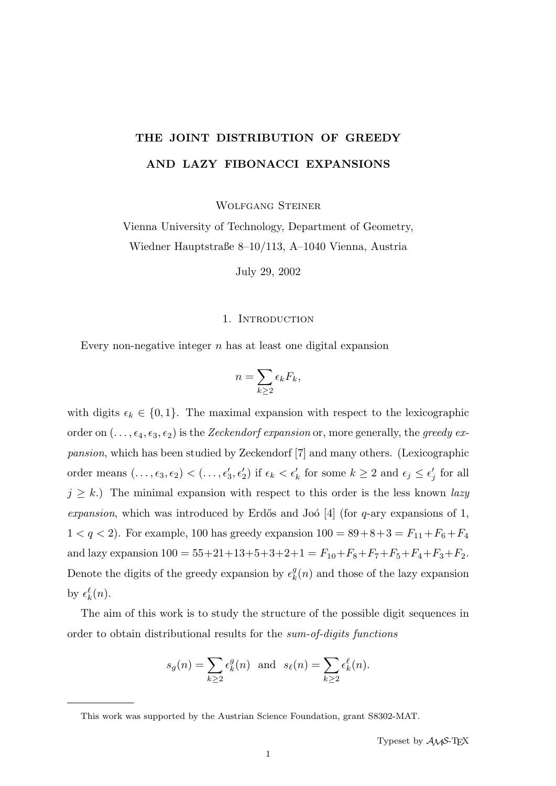# THE JOINT DISTRIBUTION OF GREEDY AND LAZY FIBONACCI EXPANSIONS

Wolfgang Steiner

Vienna University of Technology, Department of Geometry, Wiedner Hauptstraße 8–10/113, A–1040 Vienna, Austria

July 29, 2002

## 1. INTRODUCTION

Every non-negative integer  $n$  has at least one digital expansion

$$
n = \sum_{k \ge 2} \epsilon_k F_k,
$$

with digits  $\epsilon_k \in \{0, 1\}$ . The maximal expansion with respect to the lexicographic order on  $(\ldots, \epsilon_4, \epsilon_3, \epsilon_2)$  is the Zeckendorf expansion or, more generally, the greedy expansion, which has been studied by Zeckendorf [7] and many others. (Lexicographic order means  $(\ldots, \epsilon_3, \epsilon_2) < (\ldots, \epsilon'_3, \epsilon'_2)$  if  $\epsilon_k < \epsilon'_k$  for some  $k \ge 2$  and  $\epsilon_j \le \epsilon'_j$  $j'$  for all  $j \geq k$ .) The minimal expansion with respect to this order is the less known lazy expansion, which was introduced by Erdős and Joó  $[4]$  (for q-ary expansions of 1,  $1 < q < 2$ ). For example, 100 has greedy expansion  $100 = 89 + 8 + 3 = F_{11} + F_6 + F_4$ and lazy expansion  $100 = 55+21+13+5+3+2+1 = F_{10}+F_8+F_7+F_5+F_4+F_3+F_2$ . Denote the digits of the greedy expansion by  $\epsilon_k^g$  $\frac{g}{k}(n)$  and those of the lazy expansion by  $\epsilon_k^{\ell}(n)$ .

The aim of this work is to study the structure of the possible digit sequences in order to obtain distributional results for the sum-of-digits functions

$$
s_g(n) = \sum_{k \ge 2} \epsilon_k^g(n)
$$
 and  $s_\ell(n) = \sum_{k \ge 2} \epsilon_k^{\ell}(n)$ .

This work was supported by the Austrian Science Foundation, grant S8302-MAT.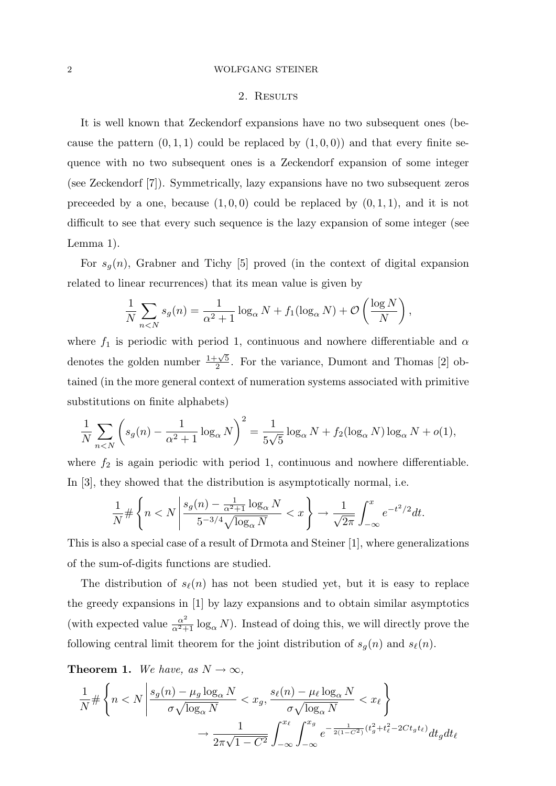## 2. RESULTS

It is well known that Zeckendorf expansions have no two subsequent ones (because the pattern  $(0, 1, 1)$  could be replaced by  $(1, 0, 0)$  and that every finite sequence with no two subsequent ones is a Zeckendorf expansion of some integer (see Zeckendorf [7]). Symmetrically, lazy expansions have no two subsequent zeros preceeded by a one, because  $(1, 0, 0)$  could be replaced by  $(0, 1, 1)$ , and it is not difficult to see that every such sequence is the lazy expansion of some integer (see Lemma 1).

For  $s_q(n)$ , Grabner and Tichy [5] proved (in the context of digital expansion related to linear recurrences) that its mean value is given by

$$
\frac{1}{N} \sum_{n < N} s_g(n) = \frac{1}{\alpha^2 + 1} \log_\alpha N + f_1(\log_\alpha N) + \mathcal{O}\left(\frac{\log N}{N}\right),
$$

where  $f_1$  is periodic with period 1, continuous and nowhere differentiable and  $\alpha$ denotes the golden number  $\frac{1+\sqrt{5}}{2}$  $\frac{2-\sqrt{5}}{2}$ . For the variance, Dumont and Thomas [2] obtained (in the more general context of numeration systems associated with primitive substitutions on finite alphabets)

$$
\frac{1}{N} \sum_{n < N} \left( s_g(n) - \frac{1}{\alpha^2 + 1} \log_{\alpha} N \right)^2 = \frac{1}{5\sqrt{5}} \log_{\alpha} N + f_2(\log_{\alpha} N) \log_{\alpha} N + o(1),
$$

where  $f_2$  is again periodic with period 1, continuous and nowhere differentiable. In [3], they showed that the distribution is asymptotically normal, i.e.

$$
\frac{1}{N} \# \left\{ n < N \left| \frac{s_g(n) - \frac{1}{\alpha^2 + 1} \log_\alpha N}{5^{-3/4} \sqrt{\log_\alpha N}} \right\} \right\} \to \frac{1}{\sqrt{2\pi}} \int_{-\infty}^x e^{-t^2/2} dt.
$$

This is also a special case of a result of Drmota and Steiner [1], where generalizations of the sum-of-digits functions are studied.

The distribution of  $s_{\ell}(n)$  has not been studied yet, but it is easy to replace the greedy expansions in [1] by lazy expansions and to obtain similar asymptotics (with expected value  $\frac{\alpha^2}{\alpha^2+1} \log_\alpha N$ ). Instead of doing this, we will directly prove the following central limit theorem for the joint distribution of  $s_g(n)$  and  $s_{\ell}(n)$ .

**Theorem 1.** We have, as  $N \to \infty$ ,

$$
\frac{1}{N} \# \left\{ n < N \left| \frac{s_g(n) - \mu_g \log_\alpha N}{\sigma \sqrt{\log_\alpha N}} < x_g, \frac{s_\ell(n) - \mu_\ell \log_\alpha N}{\sigma \sqrt{\log_\alpha N}} < x_\ell \right. \right\}
$$
\n
$$
\to \frac{1}{2\pi\sqrt{1 - C^2}} \int_{-\infty}^{x_\ell} \int_{-\infty}^{x_g} e^{-\frac{1}{2(1 - C^2)} \left( t_g^2 + t_\ell^2 - 2C t_g t_\ell \right)} dt_g dt_\ell
$$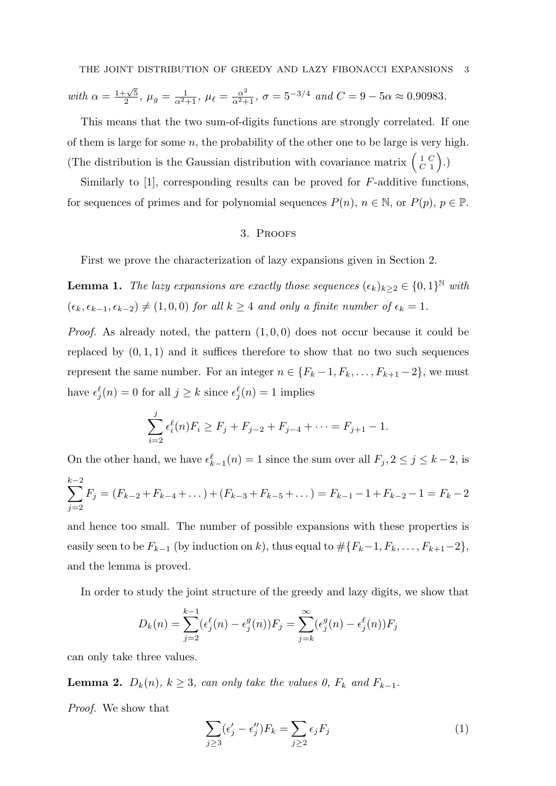with 
$$
\alpha = \frac{1+\sqrt{5}}{2}
$$
,  $\mu_g = \frac{1}{\alpha^2+1}$ ,  $\mu_\ell = \frac{\alpha^2}{\alpha^2+1}$ ,  $\sigma = 5^{-3/4}$  and  $C = 9 - 5\alpha \approx 0.90983$ .

This means that the two sum-of-digits functions are strongly correlated. If one of them is large for some  $n$ , the probability of the other one to be large is very high. (The distribution is the Gaussian distribution with covariance matrix  $\begin{pmatrix} 1 & C \\ C & 1 \end{pmatrix}$  $\begin{pmatrix} 1 & C \\ C & 1 \end{pmatrix}$ .)

Similarly to [1], corresponding results can be proved for F-additive functions, for sequences of primes and for polynomial sequences  $P(n)$ ,  $n \in \mathbb{N}$ , or  $P(p)$ ,  $p \in \mathbb{P}$ .

# 3. Proofs

First we prove the characterization of lazy expansions given in Section 2.

**Lemma 1.** The lazy expansions are exactly those sequences  $(\epsilon_k)_{k\geq 2} \in \{0,1\}^{\mathbb{N}}$  with  $(\epsilon_k, \epsilon_{k-1}, \epsilon_{k-2}) \neq (1, 0, 0)$  for all  $k \geq 4$  and only a finite number of  $\epsilon_k = 1$ .

*Proof.* As already noted, the pattern  $(1, 0, 0)$  does not occur because it could be replaced by  $(0, 1, 1)$  and it suffices therefore to show that no two such sequences represent the same number. For an integer  $n \in \{F_k-1, F_k, \ldots, F_{k+1}-2\}$ , we must have  $\epsilon_j^{\ell}(n) = 0$  for all  $j \geq k$  since  $\epsilon_j^{\ell}(n) = 1$  implies

$$
\sum_{i=2}^{j} \epsilon_i^{\ell}(n) F_i \ge F_j + F_{j-2} + F_{j-4} + \dots = F_{j+1} - 1.
$$

On the other hand, we have  $\epsilon_{k-1}^{\ell}(n) = 1$  since the sum over all  $F_j, 2 \leq j \leq k-2$ , is  $\sum^{k-2}$  $F_j = (F_{k-2} + F_{k-4} + \dots) + (F_{k-3} + F_{k-5} + \dots) = F_{k-1} - 1 + F_{k-2} - 1 = F_k - 2$ 

and hence too small. The number of possible expansions with these properties is easily seen to be  $F_{k-1}$  (by induction on k), thus equal to  $\# \{F_{k-1}, F_{k}, \ldots, F_{k+1}-2\}$ , and the lemma is proved.

In order to study the joint structure of the greedy and lazy digits, we show that

$$
D_k(n) = \sum_{j=2}^{k-1} (\epsilon_j^{\ell}(n) - \epsilon_j^g(n)) F_j = \sum_{j=k}^{\infty} (\epsilon_j^g(n) - \epsilon_j^{\ell}(n)) F_j
$$

can only take three values.

**Lemma 2.**  $D_k(n)$ ,  $k \geq 3$ , can only take the values 0,  $F_k$  and  $F_{k-1}$ .

Proof. We show that

 $j=2$ 

$$
\sum_{j\geq 3} (\epsilon'_j - \epsilon''_j) F_k = \sum_{j\geq 2} \epsilon_j F_j \tag{1}
$$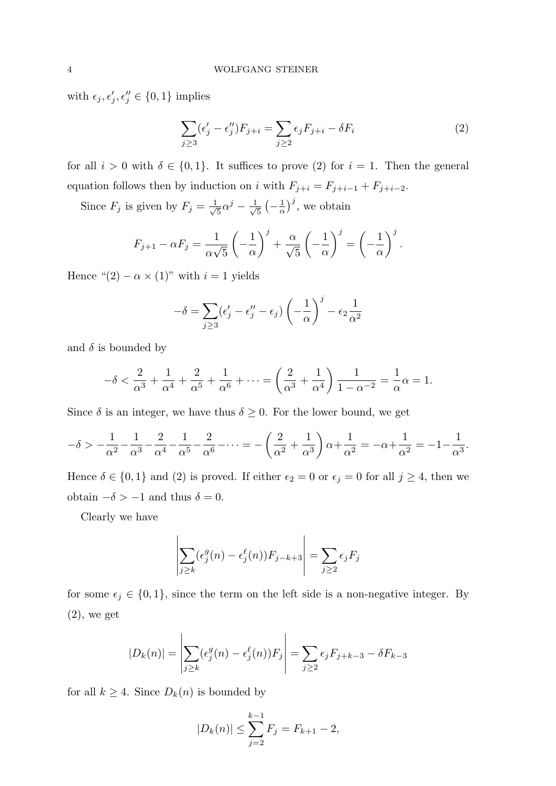with  $\epsilon_j, \epsilon'_j, \epsilon''_j \in \{0, 1\}$  implies

$$
\sum_{j\geq 3} (\epsilon'_j - \epsilon''_j) F_{j+i} = \sum_{j\geq 2} \epsilon_j F_{j+i} - \delta F_i \tag{2}
$$

for all  $i > 0$  with  $\delta \in \{0, 1\}$ . It suffices to prove (2) for  $i = 1$ . Then the general equation follows then by induction on i with  $F_{j+i} = F_{j+i-1} + F_{j+i-2}$ .

Since  $F_j$  is given by  $F_j = \frac{1}{\sqrt{2}}$  $\frac{1}{5}\alpha^j-\frac{1}{\sqrt{2}}$  $\frac{1}{5}$   $\left(-\frac{1}{\alpha}\right)$  $\frac{1}{\alpha}$ , we obtain

$$
F_{j+1} - \alpha F_j = \frac{1}{\alpha \sqrt{5}} \left( -\frac{1}{\alpha} \right)^j + \frac{\alpha}{\sqrt{5}} \left( -\frac{1}{\alpha} \right)^j = \left( -\frac{1}{\alpha} \right)^j.
$$

Hence " $(2) - \alpha \times (1)$ " with  $i = 1$  yields

$$
-\delta = \sum_{j\geq 3} (\epsilon'_j - \epsilon''_j - \epsilon_j) \left(-\frac{1}{\alpha}\right)^j - \epsilon_2 \frac{1}{\alpha^2}
$$

and  $\delta$  is bounded by

$$
-\delta < \frac{2}{\alpha^3} + \frac{1}{\alpha^4} + \frac{2}{\alpha^5} + \frac{1}{\alpha^6} + \dots = \left(\frac{2}{\alpha^3} + \frac{1}{\alpha^4}\right) \frac{1}{1 - \alpha^{-2}} = \frac{1}{\alpha}\alpha = 1.
$$

Since  $\delta$  is an integer, we have thus  $\delta \geq 0$ . For the lower bound, we get

$$
-\delta > -\frac{1}{\alpha^2} - \frac{1}{\alpha^3} - \frac{2}{\alpha^4} - \frac{1}{\alpha^5} - \frac{2}{\alpha^6} - \dots = -\left(\frac{2}{\alpha^2} + \frac{1}{\alpha^3}\right)\alpha + \frac{1}{\alpha^2} = -\alpha + \frac{1}{\alpha^2} = -1 - \frac{1}{\alpha^3}.
$$

Hence  $\delta \in \{0,1\}$  and (2) is proved. If either  $\epsilon_2 = 0$  or  $\epsilon_j = 0$  for all  $j \geq 4$ , then we obtain  $-\delta > -1$  and thus  $\delta = 0$ .

Clearly we have

$$
\left| \sum_{j \ge k} (\epsilon_j^g(n) - \epsilon_j^\ell(n)) F_{j-k+3} \right| = \sum_{j \ge 2} \epsilon_j F_j
$$

for some  $\epsilon_j \in \{0, 1\}$ , since the term on the left side is a non-negative integer. By  $(2)$ , we get

$$
|D_k(n)| = \left| \sum_{j \ge k} (\epsilon_j^g(n) - \epsilon_j^{\ell}(n)) F_j \right| = \sum_{j \ge 2} \epsilon_j F_{j+k-3} - \delta F_{k-3}
$$

for all  $k \geq 4$ . Since  $D_k(n)$  is bounded by

$$
|D_k(n)| \le \sum_{j=2}^{k-1} F_j = F_{k+1} - 2,
$$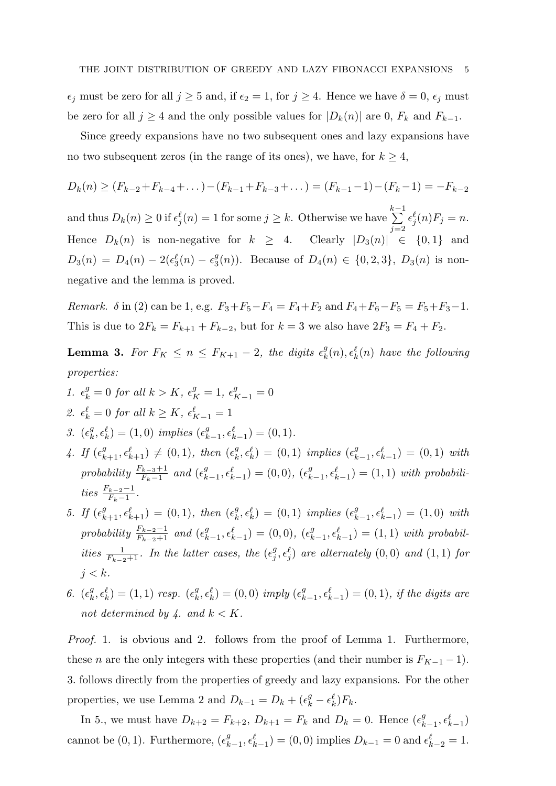$\epsilon_j$  must be zero for all  $j \geq 5$  and, if  $\epsilon_2 = 1$ , for  $j \geq 4$ . Hence we have  $\delta = 0$ ,  $\epsilon_j$  must be zero for all  $j \geq 4$  and the only possible values for  $|D_k(n)|$  are 0,  $F_k$  and  $F_{k-1}$ .

Since greedy expansions have no two subsequent ones and lazy expansions have no two subsequent zeros (in the range of its ones), we have, for  $k \geq 4$ ,

$$
D_k(n) \ge (F_{k-2} + F_{k-4} + \dots) - (F_{k-1} + F_{k-3} + \dots) = (F_{k-1} - 1) - (F_k - 1) = -F_{k-2}
$$

and thus  $D_k(n) \geq 0$  if  $\epsilon_j^{\ell}(n) = 1$  for some  $j \geq k$ . Otherwise we have  $\sum_{k=1}^{k-1}$  $j=2$  $\epsilon_j^{\ell}(n)F_j = n.$ Hence  $D_k(n)$  is non-negative for  $k \geq 4$ . Clearly  $|D_3(n)| \in \{0,1\}$  and  $D_3(n) = D_4(n) - 2(\epsilon_3^{\ell}(n) - \epsilon_3^{\ell})$  $S_3(n)$ ). Because of  $D_4(n) \in \{0, 2, 3\}$ ,  $D_3(n)$  is nonnegative and the lemma is proved.

Remark.  $\delta$  in (2) can be 1, e.g.  $F_3 + F_5 - F_4 = F_4 + F_2$  and  $F_4 + F_6 - F_5 = F_5 + F_3 - 1$ . This is due to  $2F_k = F_{k+1} + F_{k-2}$ , but for  $k = 3$  we also have  $2F_3 = F_4 + F_2$ .

**Lemma 3.** For  $F_K \le n \le F_{K+1} - 2$ , the digits  $\epsilon_k^g$  $\mathcal{E}_k^g(n), \epsilon_k^{\ell}(n)$  have the following properties:

- 1.  $\epsilon_k^g = 0$  for all  $k > K$ ,  $\epsilon_K^g = 1$ ,  $\epsilon_{K-1}^g = 0$ 2.  $\epsilon_k^{\ell} = 0$  for all  $k \geq K$ ,  $\epsilon_{K-1}^{\ell} = 1$
- 3.  $(\epsilon_k^g)$  $k^g, \epsilon^{\ell}_k$  = (1,0) implies  $(\epsilon^g_{k-1}, \epsilon^{\ell}_{k-1}) = (0, 1)$ .
- 4. If  $(\epsilon_{k+1}^g, \epsilon_{k+1}^{\ell}) \neq (0, 1)$ , then  $(\epsilon_k^g)$  $\mathcal{L}_{k}^{g}, \epsilon_{k}^{\ell}$  = (0, 1) implies  $(\epsilon_{k-1}^{g}, \epsilon_{k-1}^{\ell})$  = (0, 1) with probability  $\frac{F_{k-3}+1}{F_k-1}$  and  $(\epsilon_{k-1}^g, \epsilon_{k-1}^{\ell}) = (0,0), (\epsilon_{k-1}^g, \epsilon_{k-1}^{\ell}) = (1,1)$  with probabilities  $\frac{F_{k-2}-1}{F_k-1}$ .
- 5. If  $(\epsilon_{k+1}^g, \epsilon_{k+1}^{\ell}) = (0, 1)$ , then  $(\epsilon_k^g)$  $\mathcal{L}_{k}^{g}, \epsilon_{k}^{\ell}$  = (0, 1) implies  $(\epsilon_{k-1}^{g}, \epsilon_{k-1}^{\ell})$  = (1,0) with probability  $\frac{F_{k-2}-1}{F_{k-2}+1}$  and  $(\epsilon_{k-1}^g, \epsilon_{k-1}^{\ell}) = (0,0), (\epsilon_{k-1}^g, \epsilon_{k-1}^{\ell}) = (1,1)$  with probabilities  $\frac{1}{F_{k-2}+1}$ . In the latter cases, the  $(\epsilon_j^g)$  $j^g, \epsilon_j^{\ell}$ ) are alternately  $(0, 0)$  and  $(1, 1)$  for  $j < k$ .
- 6.  $(\epsilon_k^g)$  $\mathcal{L}_{k}^{g}, \epsilon_{k}^{\ell}$ ) = (1,1) resp. ( $\epsilon_{k}^{g}$  $k_{k}^{g}, \epsilon_{k}^{\ell}$  = (0,0) imply  $(\epsilon_{k-1}^{g}, \epsilon_{k-1}^{\ell})$  = (0,1), if the digits are not determined by 4. and  $k < K$ .

Proof. 1. is obvious and 2. follows from the proof of Lemma 1. Furthermore, these *n* are the only integers with these properties (and their number is  $F_{K-1}$  – 1). 3. follows directly from the properties of greedy and lazy expansions. For the other properties, we use Lemma 2 and  $D_{k-1} = D_k + (\epsilon_k^g - \epsilon_k^{\ell})F_k$ .

In 5., we must have  $D_{k+2} = F_{k+2}$ ,  $D_{k+1} = F_k$  and  $D_k = 0$ . Hence  $(\epsilon_{k-1}^g, \epsilon_{k-1}^{\ell})$ cannot be  $(0, 1)$ . Furthermore,  $(\epsilon_{k-1}^g, \epsilon_{k-1}^{\ell}) = (0, 0)$  implies  $D_{k-1} = 0$  and  $\epsilon_{k-2}^{\ell} = 1$ .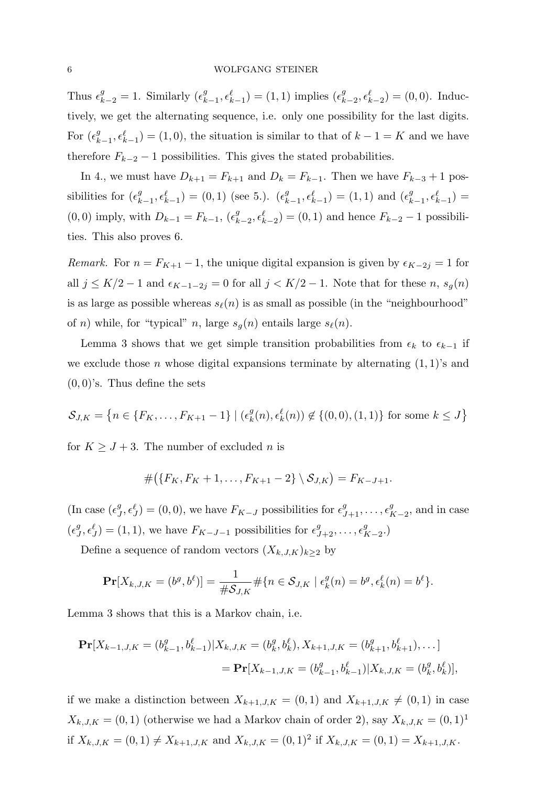Thus  $\epsilon_{k-2}^g = 1$ . Similarly  $(\epsilon_{k-1}^g, \epsilon_{k-1}^{\ell}) = (1, 1)$  implies  $(\epsilon_{k-2}^g, \epsilon_{k-2}^{\ell}) = (0, 0)$ . Inductively, we get the alternating sequence, i.e. only one possibility for the last digits. For  $(\epsilon_{k-1}^g, \epsilon_{k-1}^{\ell}) = (1, 0)$ , the situation is similar to that of  $k-1 = K$  and we have therefore  $F_{k-2} - 1$  possibilities. This gives the stated probabilities.

In 4., we must have  $D_{k+1} = F_{k+1}$  and  $D_k = F_{k-1}$ . Then we have  $F_{k-3} + 1$  possibilities for  $(\epsilon_{k-1}^g, \epsilon_{k-1}^{\ell}) = (0, 1)$  (see 5.).  $(\epsilon_{k-1}^g, \epsilon_{k-1}^{\ell}) = (1, 1)$  and  $(\epsilon_{k-1}^g, \epsilon_{k-1}^{\ell}) =$ (0,0) imply, with  $D_{k-1} = F_{k-1}$ ,  $(\epsilon_{k-2}^g, \epsilon_{k-2}^g) = (0, 1)$  and hence  $F_{k-2} - 1$  possibilities. This also proves 6.

*Remark.* For  $n = F_{K+1} - 1$ , the unique digital expansion is given by  $\epsilon_{K-2j} = 1$  for all  $j \leq K/2 - 1$  and  $\epsilon_{K-1-2j} = 0$  for all  $j < K/2 - 1$ . Note that for these n,  $s_g(n)$ is as large as possible whereas  $s_{\ell}(n)$  is as small as possible (in the "neighbourhood" of n) while, for "typical" n, large  $s_q(n)$  entails large  $s_\ell(n)$ .

Lemma 3 shows that we get simple transition probabilities from  $\epsilon_k$  to  $\epsilon_{k-1}$  if we exclude those n whose digital expansions terminate by alternating  $(1,1)$ 's and  $(0,0)$ 's. Thus define the sets

$$
S_{J,K} = \{ n \in \{F_K, \dots, F_{K+1} - 1\} \mid (\epsilon_k^g(n), \epsilon_k^\ell(n)) \notin \{(0,0), (1,1)\} \text{ for some } k \le J \}
$$

for  $K \geq J + 3$ . The number of excluded *n* is

$$
#({F_K, F_K+1, \ldots, F_{K+1}-2}) \setminus S_{J,K}) = F_{K-J+1}.
$$

(In case  $(\epsilon_j^g)$  $J^g, \epsilon_J^g$  = (0,0), we have  $F_{K-J}$  possibilities for  $\epsilon_{J+1}^g, \ldots, \epsilon_{K-2}^g$ , and in case  $(\epsilon_{j}^{g})$  $J^g, \epsilon_J^g$  = (1, 1), we have  $F_{K-J-1}$  possibilities for  $\epsilon_{J+2}^g, \ldots, \epsilon_{K-2}^g$ .

Define a sequence of random vectors  $(X_{k,J,K})_{k\geq 2}$  by

$$
\mathbf{Pr}[X_{k,J,K} = (b^g, b^{\ell})] = \frac{1}{\#S_{J,K}} \# \{n \in S_{J,K} \mid \epsilon_k^g(n) = b^g, \epsilon_k^{\ell}(n) = b^{\ell} \}.
$$

Lemma 3 shows that this is a Markov chain, i.e.

$$
\mathbf{Pr}[X_{k-1,J,K} = (b_{k-1}^g, b_{k-1}^\ell)|X_{k,J,K} = (b_k^g, b_k^\ell), X_{k+1,J,K} = (b_{k+1}^g, b_{k+1}^\ell), \dots]
$$
  
= 
$$
\mathbf{Pr}[X_{k-1,J,K} = (b_{k-1}^g, b_{k-1}^\ell)|X_{k,J,K} = (b_k^g, b_k^\ell)],
$$

if we make a distinction between  $X_{k+1,J,K} = (0,1)$  and  $X_{k+1,J,K} \neq (0,1)$  in case  $X_{k,J,K} = (0,1)$  (otherwise we had a Markov chain of order 2), say  $X_{k,J,K} = (0,1)^{1}$ if  $X_{k,J,K} = (0,1) \neq X_{k+1,J,K}$  and  $X_{k,J,K} = (0,1)^2$  if  $X_{k,J,K} = (0,1) = X_{k+1,J,K}$ .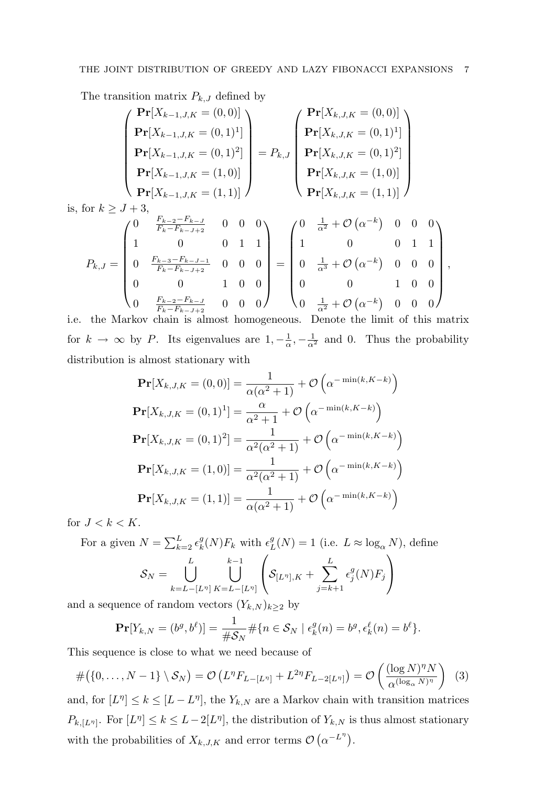The transition matrix  $P_{k,J}$  defined by

$$
\mathbf{Pr}[X_{k-1,J,K} = (0,1)^{1}] \mathbf{Pr}[X_{k-1,J,K} = (0,1)^{2}] \mathbf{Pr}[X_{k,J,K} = (0,1)^{2}] \mathbf{Pr}[X_{k,J,K} = (0,1)^{2}] \mathbf{Pr}[X_{k-1,J,K} = (1,0)] \mathbf{Pr}[X_{k-1,J,K} = (1,0)] \mathbf{Pr}[X_{k-1,J,K} = (1,1)]
$$
\n
$$
\text{or } k \geq J+3, \mathbf{Pr}[X_{k-1,J,K} = (1,1)] \mathbf{Pr}[X_{k,J,K} = (1,1)] \mathbf{Pr}[X_{k,J,K} = (1,1)]
$$
\n
$$
\text{or } k \geq J+3, \mathbf{Pr}[X_{k-1,J,K} = (1,1)] \mathbf{Pr}[X_{k,J,K} = (1,1)]
$$
\n
$$
P_{k,J} = \begin{pmatrix} 0 & \frac{F_{k-2} - F_{k-J}}{F_k - F_{k-J+2}} & 0 & 0 & 0 \\ 1 & 0 & 0 & 1 & 1 \\ 0 & \frac{F_{k-3} - F_{k-J-1}}{F_k - F_{k-J+2}} & 0 & 0 & 0 \\ 0 & 0 & 1 & 0 & 0 \end{pmatrix} = \begin{pmatrix} 0 & \frac{1}{\alpha^2} + \mathcal{O}(\alpha^{-k}) & 0 & 0 & 0 \\ 1 & 0 & 0 & 1 & 1 \\ 0 & \frac{1}{\alpha^3} + \mathcal{O}(\alpha^{-k}) & 0 & 0 & 0 \\ 0 & 0 & 1 & 0 & 0 \end{pmatrix}
$$

,

0  $\frac{F_{k-2}-F_{k-J}}{F_{k}-F_{k-J+2}}$  $\frac{F_{k-2} - F_{k-J}}{F_k - F_{k-J+2}}$  0 0 0  $0 \quad \frac{1}{\alpha^2} + \mathcal{O}\left(\alpha^{-k}\right) \quad 0 \quad 0$ i.e. the Markov chain is almost homogeneous. Denote the limit of this matrix for  $k \to \infty$  by P. Its eigenvalues are  $1, -\frac{1}{\alpha}$  $\frac{1}{\alpha}$ ,  $-\frac{1}{\alpha^2}$  and 0. Thus the probability distribution is almost stationary with

$$
\mathbf{Pr}[X_{k,J,K} = (0,0)] = \frac{1}{\alpha(\alpha^2 + 1)} + \mathcal{O}\left(\alpha^{-\min(k,K-k)}\right)
$$

$$
\mathbf{Pr}[X_{k,J,K} = (0,1)^1] = \frac{\alpha}{\alpha^2 + 1} + \mathcal{O}\left(\alpha^{-\min(k,K-k)}\right)
$$

$$
\mathbf{Pr}[X_{k,J,K} = (0,1)^2] = \frac{1}{\alpha^2(\alpha^2 + 1)} + \mathcal{O}\left(\alpha^{-\min(k,K-k)}\right)
$$

$$
\mathbf{Pr}[X_{k,J,K} = (1,0)] = \frac{1}{\alpha^2(\alpha^2 + 1)} + \mathcal{O}\left(\alpha^{-\min(k,K-k)}\right)
$$

$$
\mathbf{Pr}[X_{k,J,K} = (1,1)] = \frac{1}{\alpha(\alpha^2 + 1)} + \mathcal{O}\left(\alpha^{-\min(k,K-k)}\right)
$$

for  $J < k < K$ .

is, for

For a given  $N = \sum_{k=2}^{L} \epsilon_k^g$  ${}_{k}^{g}(N)F_{k}$  with  $\epsilon_{L}^{g}$  $L^g_L(N) = 1$  (i.e.  $L \approx \log_{\alpha} N$ ), define  $\mathcal{S}_N = \quad \begin{array}{c} \begin{array}{c} \end{array} \end{array}$ L  $\binom{k-1}{1}$  $\sqrt{ }$  $\Big\{ \mathcal{S}_{[L^{\eta}],K} + \sum_{\tau}$ L  $\epsilon_i^g$  $^g_j(N)F_j$  $\setminus$  $\overline{ }$ 

$$
o_N = \bigcup_{k=L-[L^{\eta}]} \bigcup_{K=L-[L^{\eta}]} \left( o_{[L^{\eta}],K} + \sum_{j=k+1} \epsilon_j^{\cdot} (N) r_j \right)
$$

and a sequence of random vectors  $(Y_{k,N})_{k\geq 2}$  by

$$
\mathbf{Pr}[Y_{k,N}=(b^g,b^\ell)]=\frac{1}{\#\mathcal{S}_N}\#\{n\in\mathcal{S}_N\mid\epsilon_k^g(n)=b^g,\epsilon_k^g(n)=b^\ell\}.
$$

This sequence is close to what we need because of

$$
\#(\{0,\ldots,N-1\}\setminus\mathcal{S}_N)=\mathcal{O}\left(L^{\eta}F_{L-[L^{\eta}]}+L^{2\eta}F_{L-2[L^{\eta}]}\right)=\mathcal{O}\left(\frac{(\log N)^{\eta}N}{\alpha^{(\log_{\alpha}N)^{\eta}}}\right) \tag{3}
$$

and, for  $[L^{\eta}] \leq k \leq [L - L^{\eta}],$  the  $Y_{k,N}$  are a Markov chain with transition matrices  $P_{k,[L^n]}$ . For  $[L^n] \leq k \leq L-2[L^n]$ , the distribution of  $Y_{k,N}$  is thus almost stationary with the probabilities of  $X_{k,J,K}$  and error terms  $\mathcal{O}(\alpha^{-L^{\eta}})$ .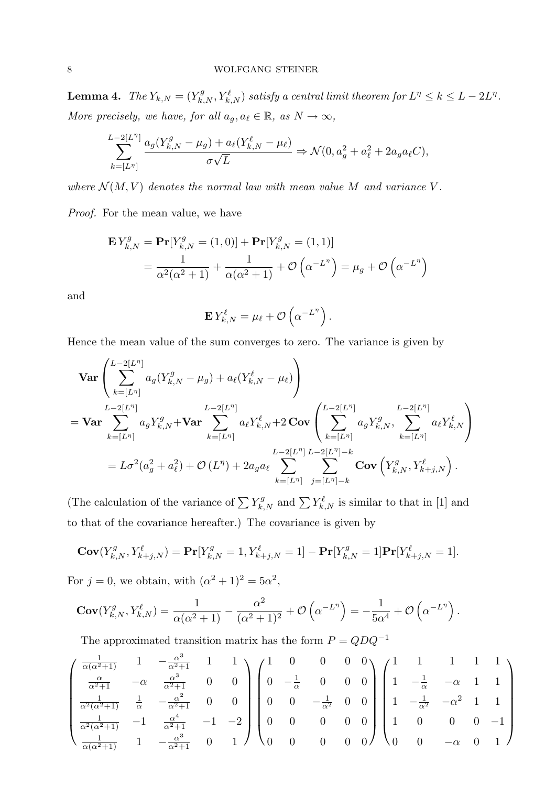**Lemma 4.** The  $Y_{k,N} = (Y_{k,N}^g, Y_{k,N}^\ell)$  satisfy a central limit theorem for  $L^\eta \leq k \leq L - 2L^\eta$ . More precisely, we have, for all  $a_g, a_\ell \in \mathbb{R}$ , as  $N \to \infty$ ,

$$
\sum_{k=[L^n]}^{L-2[L^n]} \frac{a_g(Y_{k,N}^g - \mu_g) + a_\ell(Y_{k,N}^\ell - \mu_\ell)}{\sigma\sqrt{L}} \Rightarrow \mathcal{N}(0, a_g^2 + a_\ell^2 + 2a_g a_\ell C),
$$

where  $\mathcal{N}(M, V)$  denotes the normal law with mean value M and variance V.

Proof. For the mean value, we have

$$
\mathbf{E} Y_{k,N}^g = \mathbf{Pr}[Y_{k,N}^g = (1,0)] + \mathbf{Pr}[Y_{k,N}^g = (1,1)]
$$
  
=  $\frac{1}{\alpha^2(\alpha^2 + 1)} + \frac{1}{\alpha(\alpha^2 + 1)} + \mathcal{O}\left(\alpha^{-L^{\eta}}\right) = \mu_g + \mathcal{O}\left(\alpha^{-L^{\eta}}\right)$ 

and

$$
\mathbf{E} Y_{k,N}^{\ell} = \mu_{\ell} + \mathcal{O}\left(\alpha^{-L^{\eta}}\right).
$$

Hence the mean value of the sum converges to zero. The variance is given by

$$
\begin{split}\n&\textbf{Var}\left(\sum_{k=[L^{\eta}]}^{L-2[L^{\eta}]}a_g(Y_{k,N}^g-\mu_g)+a_\ell(Y_{k,N}^\ell-\mu_\ell)\right) \\
&=\textbf{Var}\sum_{k=[L^{\eta}]}^{L-2[L^{\eta}]}a_gY_{k,N}^g+\textbf{Var}\sum_{k=[L^{\eta}]}^{L-2[L^{\eta}]}a_\ell Y_{k,N}^\ell+2\,\textbf{Cov}\left(\sum_{k=[L^{\eta}]}^{L-2[L^{\eta}]}a_gY_{k,N}^g,\sum_{k=[L^{\eta}]}^{L-2[L^{\eta}]}a_\ell Y_{k,N}^\ell\right) \\
&=L\sigma^2(a_g^2+a_\ell^2)+\mathcal{O}\left(L^{\eta}\right)+2a_ga_\ell\sum_{k=[L^{\eta}]}^{L-2[L^{\eta}]} \sum_{j=[L^{\eta}]-k}^{L-2[L^{\eta}]} \textbf{Cov}\left(Y_{k,N}^g,Y_{k+j,N}^\ell\right).\n\end{split}
$$

(The calculation of the variance of  $\sum Y_{k,N}^g$  and  $\sum Y_{k,N}^\ell$  is similar to that in [1] and to that of the covariance hereafter.) The covariance is given by

$$
\mathbf{Cov}(Y_{k,N}^g, Y_{k+j,N}^\ell) = \mathbf{Pr}[Y_{k,N}^g = 1, Y_{k+j,N}^\ell = 1] - \mathbf{Pr}[Y_{k,N}^g = 1] \mathbf{Pr}[Y_{k+j,N}^\ell = 1].
$$

For  $j = 0$ , we obtain, with  $(\alpha^2 + 1)^2 = 5\alpha^2$ ,

$$
\mathbf{Cov}(Y_{k,N}^g, Y_{k,N}^\ell) = \frac{1}{\alpha(\alpha^2 + 1)} - \frac{\alpha^2}{(\alpha^2 + 1)^2} + \mathcal{O}\left(\alpha^{-L^{\eta}}\right) = -\frac{1}{5\alpha^4} + \mathcal{O}\left(\alpha^{-L^{\eta}}\right).
$$

The approximated transition matrix has the form  $P = QDQ^{-1}$ 

$$
\begin{pmatrix}\n\frac{1}{\alpha(\alpha^2+1)} & 1 & -\frac{\alpha^3}{\alpha^2+1} & 1 & 1 \\
\frac{\alpha}{\alpha^2+1} & -\alpha & \frac{\alpha^3}{\alpha^2+1} & 0 & 0 \\
\frac{1}{\alpha^2(\alpha^2+1)} & \frac{1}{\alpha} & -\frac{\alpha^2}{\alpha^2+1} & 0 & 0 \\
\frac{1}{\alpha^2(\alpha^2+1)} & -1 & \frac{\alpha^4}{\alpha^2+1} & -1 & -2 \\
\frac{1}{\alpha(\alpha^2+1)} & 1 & -\frac{\alpha^3}{\alpha^2+1} & 0 & 1\n\end{pmatrix}\n\begin{pmatrix}\n1 & 0 & 0 & 0 & 0 \\
0 & -\frac{1}{\alpha} & 0 & 0 & 0 \\
0 & 0 & -\frac{1}{\alpha^2} & 0 & 0 \\
0 & 0 & 0 & 0 & 0 \\
0 & 0 & 0 & 0 & 0\n\end{pmatrix}\n\begin{pmatrix}\n1 & 1 & 1 & 1 \\
1 & -\frac{1}{\alpha} & -\alpha & 1 & 1 \\
1 & -\frac{1}{\alpha^2} & -\alpha^2 & 1 & 1 \\
1 & 0 & 0 & 0 & -1 \\
0 & 0 & 0 & -1 & 0\n\end{pmatrix}
$$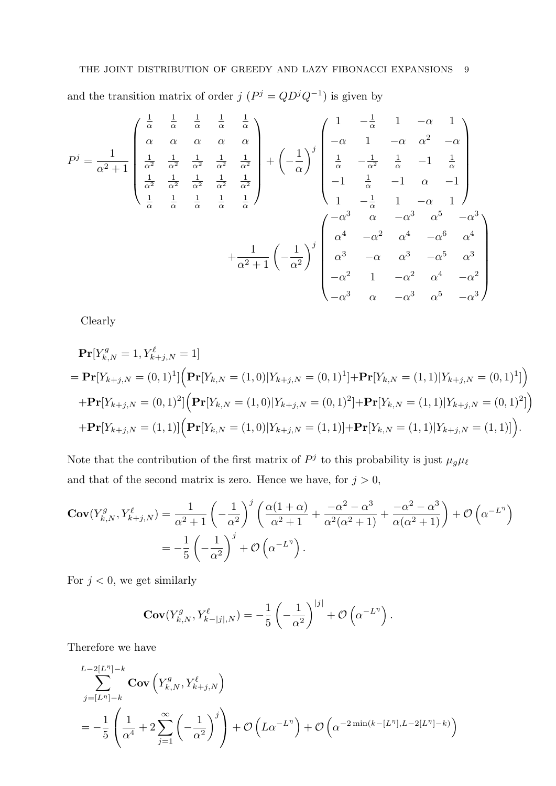and the transition matrix of order  $j(P^j = QD^jQ^{-1})$  is given by

$$
P^{j} = \frac{1}{\alpha^{2} + 1} \begin{pmatrix} \frac{1}{\alpha} & \frac{1}{\alpha} & \frac{1}{\alpha} & \frac{1}{\alpha} & \frac{1}{\alpha} \\ \alpha & \alpha & \alpha & \alpha \\ \frac{1}{\alpha^{2}} & \frac{1}{\alpha^{2}} & \frac{1}{\alpha^{2}} & \frac{1}{\alpha^{2}} & \frac{1}{\alpha^{2}} \\ \frac{1}{\alpha} & \frac{1}{\alpha} & \frac{1}{\alpha} & \frac{1}{\alpha^{2}} & \frac{1}{\alpha^{2}} \\ \frac{1}{\alpha} & \frac{1}{\alpha} & \frac{1}{\alpha} & \frac{1}{\alpha} & \frac{1}{\alpha} \end{pmatrix} + (-\frac{1}{\alpha})^{j} \begin{pmatrix} 1 & -\frac{1}{\alpha} & 1 & -\alpha & 1 \\ -\alpha & 1 & -\alpha & \alpha^{2} & -\alpha \\ \frac{1}{\alpha} & -\frac{1}{\alpha^{2}} & \frac{1}{\alpha} & -1 & \frac{1}{\alpha} \\ \frac{1}{\alpha} & \frac{1}{\alpha} & \frac{1}{\alpha} & \frac{1}{\alpha} & \frac{1}{\alpha} \end{pmatrix} + (-\frac{1}{\alpha})^{j} \begin{pmatrix} 1 & -\frac{1}{\alpha} & 1 & -\alpha & 1 \\ -\frac{1}{\alpha} & 1 & -\alpha & \alpha^{2} & -\alpha^{3} \\ 1 & -\frac{1}{\alpha} & 1 & -\alpha & 1 \end{pmatrix} + \frac{1}{\alpha^{2} + 1} \begin{pmatrix} -\frac{1}{\alpha^{2}} & \frac{1}{\alpha^{2}} & -\frac{1}{\alpha^{2}} & \frac{1}{\alpha^{2}} & -\frac{1}{\alpha^{2}} \\ \alpha^{3} & -\alpha & \alpha^{3} & -\alpha^{5} & \alpha^{3} \\ -\alpha^{2} & 1 & -\alpha^{2} & \alpha^{4} & -\alpha^{2} \\ -\alpha^{3} & \alpha & -\alpha^{3} & \alpha^{5} & -\alpha^{3} \end{pmatrix}
$$

Clearly

$$
\begin{split}\n&\mathbf{Pr}[Y_{k,N}^{g} = 1, Y_{k+j,N}^{\ell} = 1] \\
&= \mathbf{Pr}[Y_{k+j,N} = (0,1)^{1}] \Big( \mathbf{Pr}[Y_{k,N} = (1,0)|Y_{k+j,N} = (0,1)^{1}] + \mathbf{Pr}[Y_{k,N} = (1,1)|Y_{k+j,N} = (0,1)^{1}] \Big) \\
&\quad + \mathbf{Pr}[Y_{k+j,N} = (0,1)^{2}] \Big( \mathbf{Pr}[Y_{k,N} = (1,0)|Y_{k+j,N} = (0,1)^{2}] + \mathbf{Pr}[Y_{k,N} = (1,1)|Y_{k+j,N} = (0,1)^{2}] \Big) \\
&\quad + \mathbf{Pr}[Y_{k+j,N} = (1,1)] \Big( \mathbf{Pr}[Y_{k,N} = (1,0)|Y_{k+j,N} = (1,1)] + \mathbf{Pr}[Y_{k,N} = (1,1)|Y_{k+j,N} = (1,1)] \Big). \n\end{split}
$$

Note that the contribution of the first matrix of  $P<sup>j</sup>$  to this probability is just  $\mu_g \mu_\ell$ and that of the second matrix is zero. Hence we have, for  $j > 0$ ,

$$
\mathbf{Cov}(Y_{k,N}^g, Y_{k+j,N}^\ell) = \frac{1}{\alpha^2 + 1} \left( -\frac{1}{\alpha^2} \right)^j \left( \frac{\alpha(1+\alpha)}{\alpha^2 + 1} + \frac{-\alpha^2 - \alpha^3}{\alpha^2(\alpha^2 + 1)} + \frac{-\alpha^2 - \alpha^3}{\alpha(\alpha^2 + 1)} \right) + \mathcal{O}\left(\alpha^{-L^{\eta}}\right)
$$

$$
= -\frac{1}{5} \left( -\frac{1}{\alpha^2} \right)^j + \mathcal{O}\left(\alpha^{-L^{\eta}}\right).
$$

For  $j < 0$ , we get similarly

$$
\mathbf{Cov}(Y_{k,N}^g, Y_{k-|j|,N}^{\ell}) = -\frac{1}{5} \left( -\frac{1}{\alpha^2} \right)^{|j|} + \mathcal{O}\left( \alpha^{-L^{\eta}} \right).
$$

Therefore we have

$$
\sum_{j=[L^{\eta}] - k}^{L-2[L^{\eta}] - k} \text{Cov}\left(Y_{k,N}^{g}, Y_{k+j,N}^{\ell}\right)
$$
\n
$$
= -\frac{1}{5} \left( \frac{1}{\alpha^4} + 2 \sum_{j=1}^{\infty} \left( -\frac{1}{\alpha^2} \right)^j \right) + \mathcal{O}\left( L\alpha^{-L^{\eta}} \right) + \mathcal{O}\left( \alpha^{-2 \min\left( k - \lfloor L^{\eta} \rfloor, L - 2\lfloor L^{\eta} \rfloor - k \right)} \right)
$$